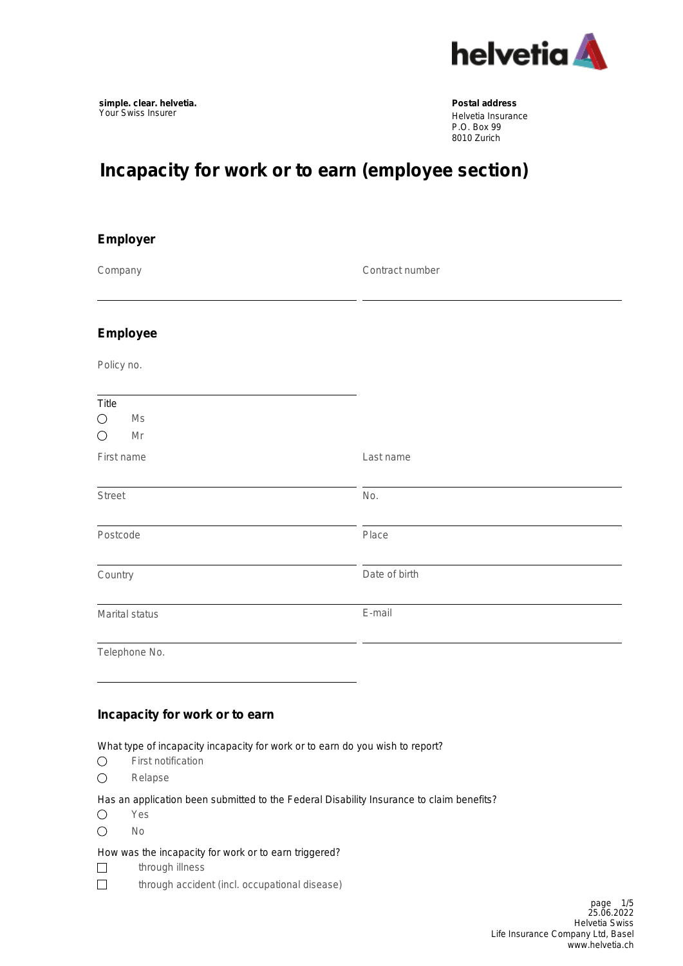

Helvetia Insurance P.O. Box 99 8010 Zurich

# **Incapacity for work or to earn (employee section)**

| Employer                                      |                 |
|-----------------------------------------------|-----------------|
| Company                                       | Contract number |
| <b>Employee</b>                               |                 |
| Policy no.                                    |                 |
| Title<br>Ms<br>$\bigcirc$<br>$\bigcirc$<br>Mr |                 |
| First name                                    | Last name       |
| <b>Street</b>                                 | No.             |
| Postcode                                      | Place           |
| Country                                       | Date of birth   |
| Marital status                                | E-mail          |
| Telephone No.                                 |                 |
| Incapacity for work or to earn                |                 |

What type of incapacity incapacity for work or to earn do you wish to report?

- First notification  $\bigcirc$
- $\bigcirc$ Relapse

Has an application been submitted to the Federal Disability Insurance to claim benefits?

- $\bigcirc$ Yes
- $\bigcirc$ No

#### How was the incapacity for work or to earn triggered?

- $\Box$ through illness
- $\Box$ through accident (incl. occupational disease)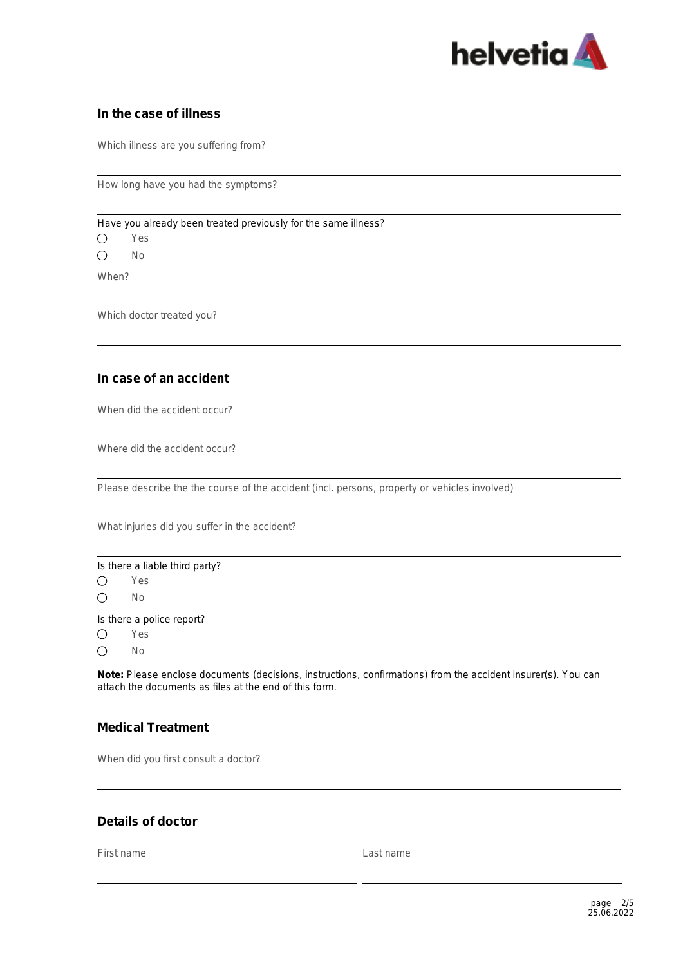

#### **In the case of illness**

Which illness are you suffering from?

How long have you had the symptoms?

Have you already been treated previously for the same illness?

 $\bigcirc$ Yes

 $\bigcap$ No

When?

Which doctor treated you?

### **In case of an accident**

When did the accident occur?

Where did the accident occur?

Please describe the the course of the accident (incl. persons, property or vehicles involved)

What injuries did you suffer in the accident?

Is there a liable third party?  $\bigcirc$ Yes No  $\bigcirc$ 

Is there a police report?

Yes  $\bigcirc$ 

 $\bigcap$ No

**Note:** Please enclose documents (decisions, instructions, confirmations) from the accident insurer(s). You can attach the documents as files at the end of this form.

## **Medical Treatment**

When did you first consult a doctor?

#### **Details of doctor**

First name Last name Last name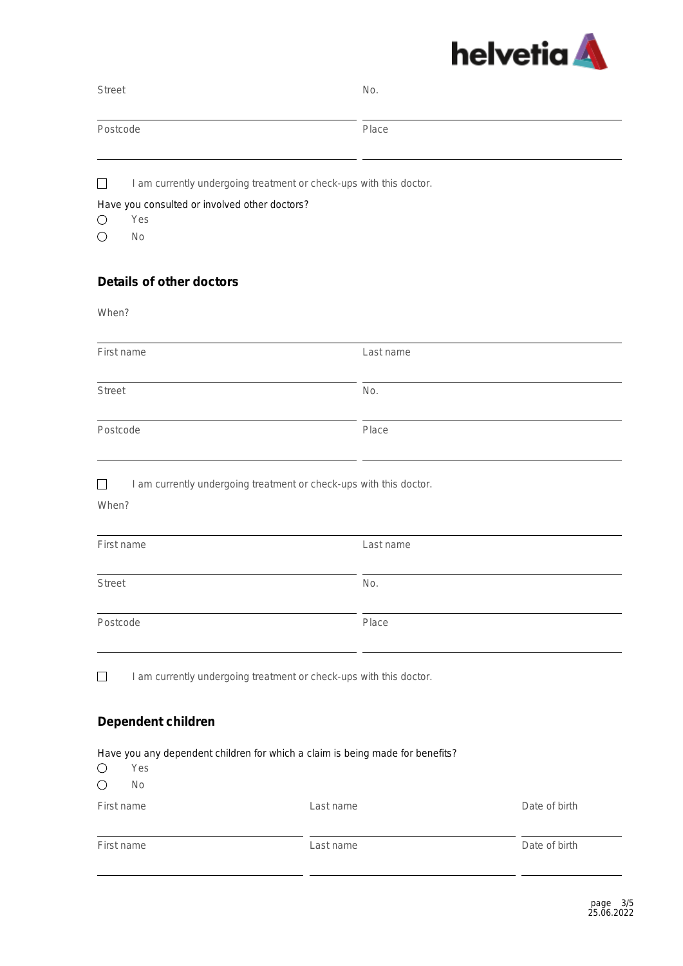

| <b>Street</b>                                                                 | No.       |               |
|-------------------------------------------------------------------------------|-----------|---------------|
| Postcode                                                                      | Place     |               |
| I am currently undergoing treatment or check-ups with this doctor.<br>$\Box$  |           |               |
| Have you consulted or involved other doctors?                                 |           |               |
| $\bigcirc$<br>Yes                                                             |           |               |
| $\bigcirc$<br>No                                                              |           |               |
| <b>Details of other doctors</b>                                               |           |               |
| When?                                                                         |           |               |
| First name                                                                    | Last name |               |
| <b>Street</b>                                                                 | No.       |               |
| Postcode                                                                      | Place     |               |
|                                                                               |           |               |
| I am currently undergoing treatment or check-ups with this doctor.<br>П       |           |               |
| When?                                                                         |           |               |
| First name                                                                    | Last name |               |
| <b>Street</b>                                                                 | No.       |               |
| Postcode                                                                      | Place     |               |
| I am currently undergoing treatment or check-ups with this doctor.            |           |               |
|                                                                               |           |               |
| Dependent children                                                            |           |               |
| Have you any dependent children for which a claim is being made for benefits? |           |               |
| О<br>Yes                                                                      |           |               |
| $\bigcirc$<br>No                                                              |           |               |
| First name                                                                    | Last name | Date of birth |
| First name                                                                    | Last name | Date of birth |
|                                                                               |           |               |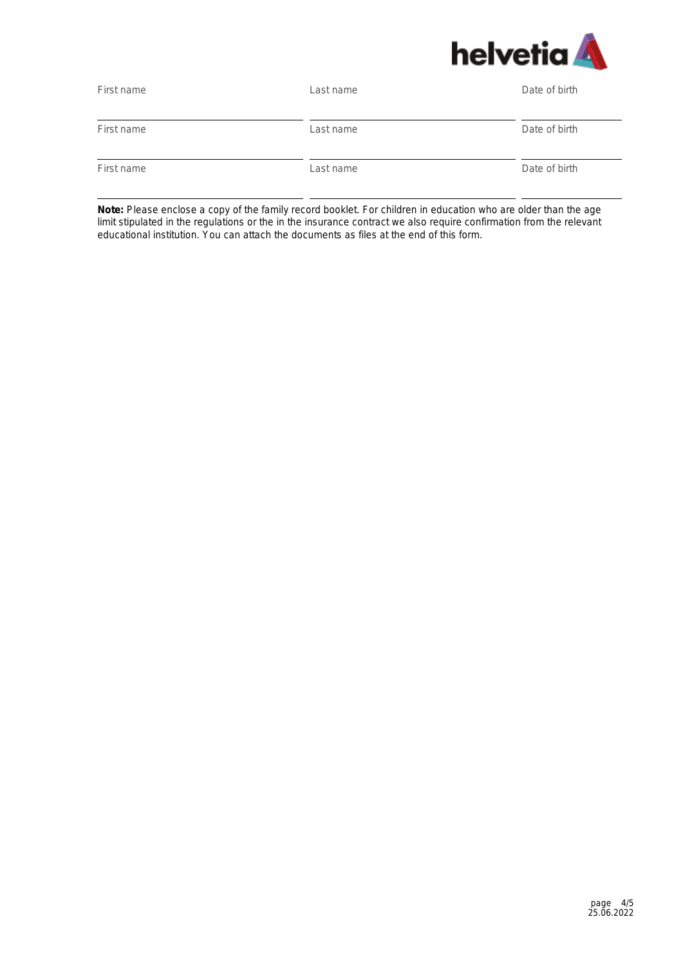

| First name | Last name | Date of birth |
|------------|-----------|---------------|
| First name | Last name | Date of birth |
| First name | Last name | Date of birth |

**Note:** Please enclose a copy of the family record booklet. For children in education who are older than the age limit stipulated in the regulations or the in the insurance contract we also require confirmation from the relevant educational institution. You can attach the documents as files at the end of this form.